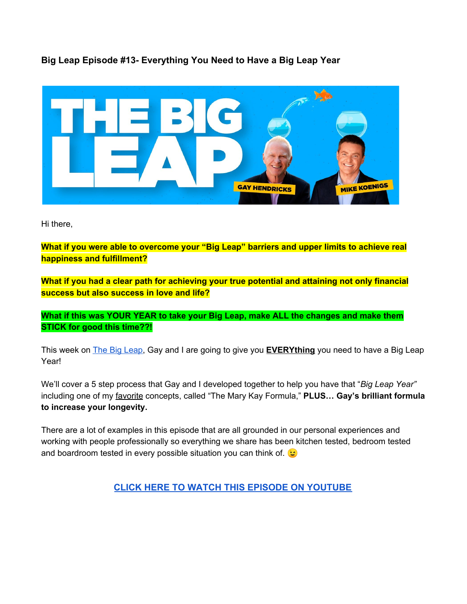**Big Leap Episode #13- Everything You Need to Have a Big Leap Year**



Hi there,

**What if you were able to overcome your "Big Leap" barriers and upper limits to achieve real happiness and fulfillment?**

**What if you had a clear path for achieving your true potential and attaining not only financial success but also success in love and life?**

**What if this was YOUR YEAR to take your Big Leap, make ALL the changes and make them STICK for good this time??!**

This week on The Big [Leap,](http://www.mrbz.com/BLPOD) Gay and I are going to give you **EVERYthing** you need to have a Big Leap Year!

We'll cover a 5 step process that Gay and I developed together to help you have that "*Big Leap Year"* including one of my favorite concepts, called "The Mary Kay Formula," **PLUS… Gay's brilliant formula to increase your longevity.**

There are a lot of examples in this episode that are all grounded in our personal experiences and working with people professionally so everything we share has been kitchen tested, bedroom tested and boardroom tested in every possible situation you can think of.  $\odot$ 

**[CLICK HERE TO WATCH THIS EPISODE ON YOUTUBE](http://www.mrbz.com/BigLeapEP13)**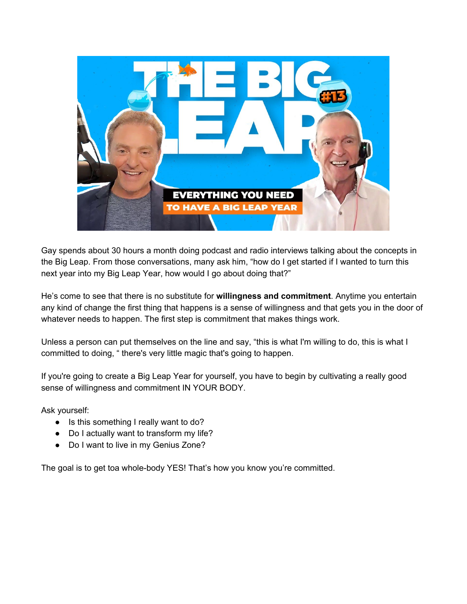

Gay spends about 30 hours a month doing podcast and radio interviews talking about the concepts in the Big Leap. From those conversations, many ask him, "how do I get started if I wanted to turn this next year into my Big Leap Year, how would I go about doing that?"

He's come to see that there is no substitute for **willingness and commitment**. Anytime you entertain any kind of change the first thing that happens is a sense of willingness and that gets you in the door of whatever needs to happen. The first step is commitment that makes things work.

Unless a person can put themselves on the line and say, "this is what I'm willing to do, this is what I committed to doing, " there's very little magic that's going to happen.

If you're going to create a Big Leap Year for yourself, you have to begin by cultivating a really good sense of willingness and commitment IN YOUR BODY.

Ask yourself:

- Is this something I really want to do?
- Do I actually want to transform my life?
- Do I want to live in my Genius Zone?

The goal is to get toa whole-body YES! That's how you know you're committed.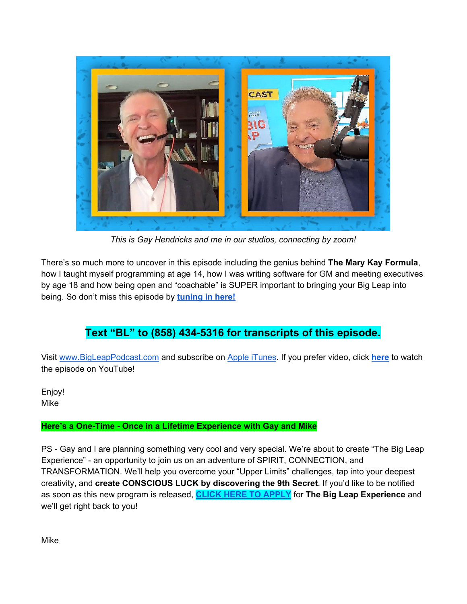

*This is Gay Hendricks and me in our studios, connecting by zoom!*

There's so much more to uncover in this episode including the genius behind **The Mary Kay Formula**, how I taught myself programming at age 14, how I was writing software for GM and meeting executives by age 18 and how being open and "coachable" is SUPER important to bringing your Big Leap into being. So don't miss this episode by **[tuning](http://www.mrbz.com/BLPOD) in here!**

# **Text "BL" to (858) 434-5316 for transcripts of this episode.**

Visit [www.BigLeapPodcast.com](http://www.bigleappodcast.com/) and subscribe on Apple [iTunes](http://www.mrbz.com/BLPOD). If you prefer video, click **[here](http://www.mrbz.com/BigLeapEP13)** to watch the episode on YouTube!

Enjoy! Mike

## **Here's a One-Time - Once in a Lifetime Experience with Gay and Mike**

PS - Gay and I are planning something very cool and very special. We're about to create "The Big Leap Experience" - an opportunity to join us on an adventure of SPIRIT, CONNECTION, and TRANSFORMATION. We'll help you overcome your "Upper Limits" challenges, tap into your deepest creativity, and **create CONSCIOUS LUCK by discovering the 9th Secret**. If you'd like to be notified as soon as this new program is released, **CLICK HERE TO [APPLY](https://bigleappodcast.com/apply)** for **The Big Leap Experience** and we'll get right back to you!

Mike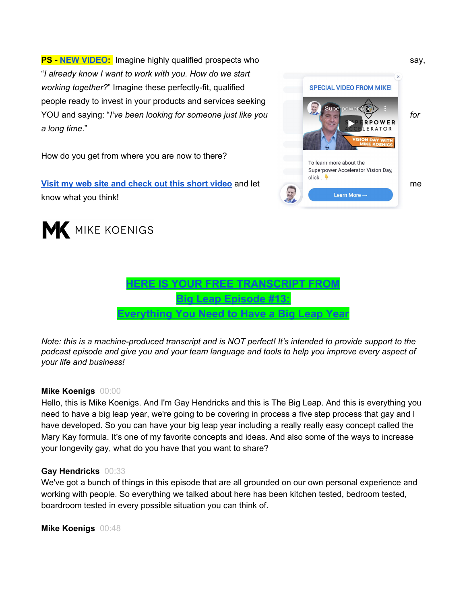**PS - NEW [VIDEO](http://www.mrbz.com/VisionVideo):** Imagine highly qualified prospects who say, "*I already know I want to work with you. How do we start working together?*" Imagine these perfectly-fit, qualified people ready to invest in your products and services seeking YOU and saying: "*I've been looking for someone just like you for a long time*."

How do you get from where you are now to there?

**Visit my web site and [check](http://www.mikekoenigs.com/) out this short video** and let me know what you think!





![](_page_3_Picture_5.jpeg)

*Note: this is a machine-produced transcript and is NOT perfect! It's intended to provide support to the podcast episode and give you and your team language and tools to help you improve every aspect of your life and business!*

## **Mike Koenigs** 00:00

Hello, this is Mike Koenigs. And I'm Gay Hendricks and this is The Big Leap. And this is everything you need to have a big leap year, we're going to be covering in process a five step process that gay and I have developed. So you can have your big leap year including a really really easy concept called the Mary Kay formula. It's one of my favorite concepts and ideas. And also some of the ways to increase your longevity gay, what do you have that you want to share?

## **Gay Hendricks** 00:33

We've got a bunch of things in this episode that are all grounded on our own personal experience and working with people. So everything we talked about here has been kitchen tested, bedroom tested, boardroom tested in every possible situation you can think of.

**Mike Koenigs** 00:48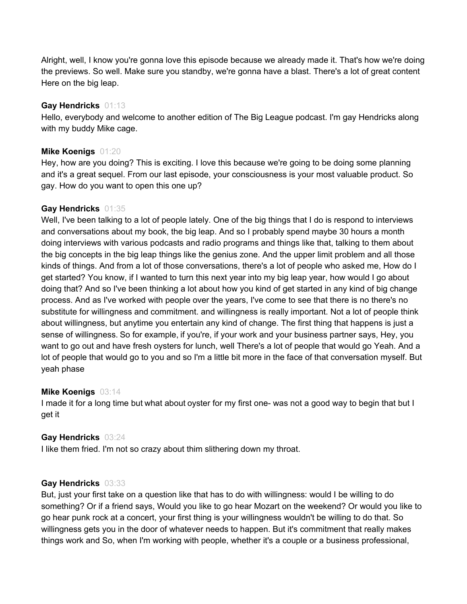Alright, well, I know you're gonna love this episode because we already made it. That's how we're doing the previews. So well. Make sure you standby, we're gonna have a blast. There's a lot of great content Here on the big leap.

#### **Gay Hendricks** 01:13

Hello, everybody and welcome to another edition of The Big League podcast. I'm gay Hendricks along with my buddy Mike cage.

## **Mike Koenigs** 01:20

Hey, how are you doing? This is exciting. I love this because we're going to be doing some planning and it's a great sequel. From our last episode, your consciousness is your most valuable product. So gay. How do you want to open this one up?

## **Gay Hendricks** 01:35

Well, I've been talking to a lot of people lately. One of the big things that I do is respond to interviews and conversations about my book, the big leap. And so I probably spend maybe 30 hours a month doing interviews with various podcasts and radio programs and things like that, talking to them about the big concepts in the big leap things like the genius zone. And the upper limit problem and all those kinds of things. And from a lot of those conversations, there's a lot of people who asked me, How do I get started? You know, if I wanted to turn this next year into my big leap year, how would I go about doing that? And so I've been thinking a lot about how you kind of get started in any kind of big change process. And as I've worked with people over the years, I've come to see that there is no there's no substitute for willingness and commitment. and willingness is really important. Not a lot of people think about willingness, but anytime you entertain any kind of change. The first thing that happens is just a sense of willingness. So for example, if you're, if your work and your business partner says, Hey, you want to go out and have fresh oysters for lunch, well There's a lot of people that would go Yeah. And a lot of people that would go to you and so I'm a little bit more in the face of that conversation myself. But yeah phase

#### **Mike Koenigs** 03:14

I made it for a long time but what about oyster for my first one- was not a good way to begin that but I get it

## **Gay Hendricks** 03:24

I like them fried. I'm not so crazy about thim slithering down my throat.

#### **Gay Hendricks** 03:33

But, just your first take on a question like that has to do with willingness: would I be willing to do something? Or if a friend says, Would you like to go hear Mozart on the weekend? Or would you like to go hear punk rock at a concert, your first thing is your willingness wouldn't be willing to do that. So willingness gets you in the door of whatever needs to happen. But it's commitment that really makes things work and So, when I'm working with people, whether it's a couple or a business professional,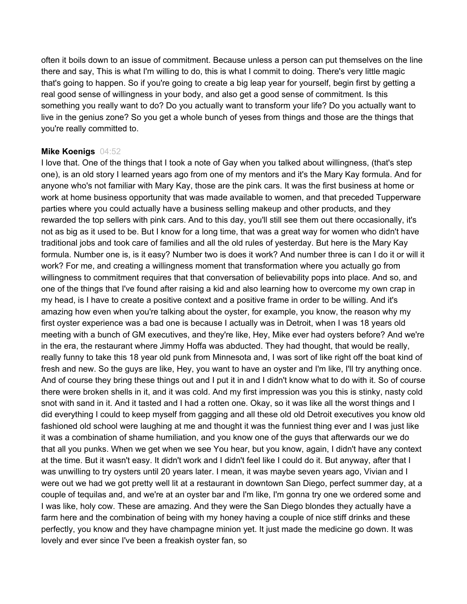often it boils down to an issue of commitment. Because unless a person can put themselves on the line there and say, This is what I'm willing to do, this is what I commit to doing. There's very little magic that's going to happen. So if you're going to create a big leap year for yourself, begin first by getting a real good sense of willingness in your body, and also get a good sense of commitment. Is this something you really want to do? Do you actually want to transform your life? Do you actually want to live in the genius zone? So you get a whole bunch of yeses from things and those are the things that you're really committed to.

#### **Mike Koenigs** 04:52

I love that. One of the things that I took a note of Gay when you talked about willingness, (that's step one), is an old story I learned years ago from one of my mentors and it's the Mary Kay formula. And for anyone who's not familiar with Mary Kay, those are the pink cars. It was the first business at home or work at home business opportunity that was made available to women, and that preceded Tupperware parties where you could actually have a business selling makeup and other products, and they rewarded the top sellers with pink cars. And to this day, you'll still see them out there occasionally, it's not as big as it used to be. But I know for a long time, that was a great way for women who didn't have traditional jobs and took care of families and all the old rules of yesterday. But here is the Mary Kay formula. Number one is, is it easy? Number two is does it work? And number three is can I do it or will it work? For me, and creating a willingness moment that transformation where you actually go from willingness to commitment requires that that conversation of believability pops into place. And so, and one of the things that I've found after raising a kid and also learning how to overcome my own crap in my head, is I have to create a positive context and a positive frame in order to be willing. And it's amazing how even when you're talking about the oyster, for example, you know, the reason why my first oyster experience was a bad one is because I actually was in Detroit, when I was 18 years old meeting with a bunch of GM executives, and they're like, Hey, Mike ever had oysters before? And we're in the era, the restaurant where Jimmy Hoffa was abducted. They had thought, that would be really, really funny to take this 18 year old punk from Minnesota and, I was sort of like right off the boat kind of fresh and new. So the guys are like, Hey, you want to have an oyster and I'm like, I'll try anything once. And of course they bring these things out and I put it in and I didn't know what to do with it. So of course there were broken shells in it, and it was cold. And my first impression was you this is stinky, nasty cold snot with sand in it. And it tasted and I had a rotten one. Okay, so it was like all the worst things and I did everything I could to keep myself from gagging and all these old old Detroit executives you know old fashioned old school were laughing at me and thought it was the funniest thing ever and I was just like it was a combination of shame humiliation, and you know one of the guys that afterwards our we do that all you punks. When we get when we see You hear, but you know, again, I didn't have any context at the time. But it wasn't easy. It didn't work and I didn't feel like I could do it. But anyway, after that I was unwilling to try oysters until 20 years later. I mean, it was maybe seven years ago, Vivian and I were out we had we got pretty well lit at a restaurant in downtown San Diego, perfect summer day, at a couple of tequilas and, and we're at an oyster bar and I'm like, I'm gonna try one we ordered some and I was like, holy cow. These are amazing. And they were the San Diego blondes they actually have a farm here and the combination of being with my honey having a couple of nice stiff drinks and these perfectly, you know and they have champagne minion yet. It just made the medicine go down. It was lovely and ever since I've been a freakish oyster fan, so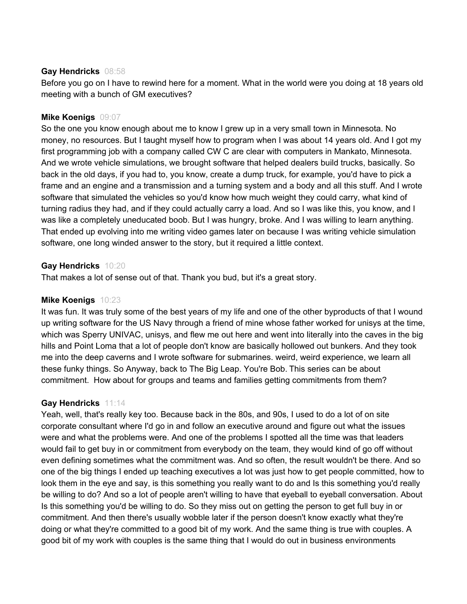## **Gay Hendricks** 08:58

Before you go on I have to rewind here for a moment. What in the world were you doing at 18 years old meeting with a bunch of GM executives?

## **Mike Koenigs** 09:07

So the one you know enough about me to know I grew up in a very small town in Minnesota. No money, no resources. But I taught myself how to program when I was about 14 years old. And I got my first programming job with a company called CW C are clear with computers in Mankato, Minnesota. And we wrote vehicle simulations, we brought software that helped dealers build trucks, basically. So back in the old days, if you had to, you know, create a dump truck, for example, you'd have to pick a frame and an engine and a transmission and a turning system and a body and all this stuff. And I wrote software that simulated the vehicles so you'd know how much weight they could carry, what kind of turning radius they had, and if they could actually carry a load. And so I was like this, you know, and I was like a completely uneducated boob. But I was hungry, broke. And I was willing to learn anything. That ended up evolving into me writing video games later on because I was writing vehicle simulation software, one long winded answer to the story, but it required a little context.

## **Gay Hendricks** 10:20

That makes a lot of sense out of that. Thank you bud, but it's a great story.

## **Mike Koenigs** 10:23

It was fun. It was truly some of the best years of my life and one of the other byproducts of that I wound up writing software for the US Navy through a friend of mine whose father worked for unisys at the time, which was Sperry UNIVAC, unisys, and flew me out here and went into literally into the caves in the big hills and Point Loma that a lot of people don't know are basically hollowed out bunkers. And they took me into the deep caverns and I wrote software for submarines. weird, weird experience, we learn all these funky things. So Anyway, back to The Big Leap. You're Bob. This series can be about commitment. How about for groups and teams and families getting commitments from them?

## **Gay Hendricks** 11:14

Yeah, well, that's really key too. Because back in the 80s, and 90s, I used to do a lot of on site corporate consultant where I'd go in and follow an executive around and figure out what the issues were and what the problems were. And one of the problems I spotted all the time was that leaders would fail to get buy in or commitment from everybody on the team, they would kind of go off without even defining sometimes what the commitment was. And so often, the result wouldn't be there. And so one of the big things I ended up teaching executives a lot was just how to get people committed, how to look them in the eye and say, is this something you really want to do and Is this something you'd really be willing to do? And so a lot of people aren't willing to have that eyeball to eyeball conversation. About Is this something you'd be willing to do. So they miss out on getting the person to get full buy in or commitment. And then there's usually wobble later if the person doesn't know exactly what they're doing or what they're committed to a good bit of my work. And the same thing is true with couples. A good bit of my work with couples is the same thing that I would do out in business environments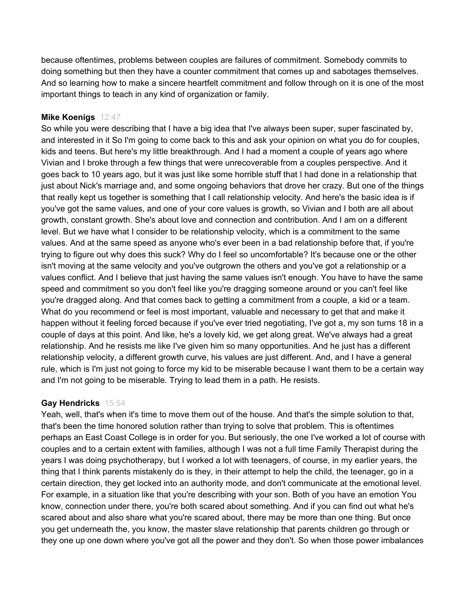because oftentimes, problems between couples are failures of commitment. Somebody commits to doing something but then they have a counter commitment that comes up and sabotages themselves. And so learning how to make a sincere heartfelt commitment and follow through on it is one of the most important things to teach in any kind of organization or family.

## **Mike Koenigs** 12:47

So while you were describing that I have a big idea that I've always been super, super fascinated by, and interested in it So I'm going to come back to this and ask your opinion on what you do for couples, kids and teens. But here's my little breakthrough. And I had a moment a couple of years ago where Vivian and I broke through a few things that were unrecoverable from a couples perspective. And it goes back to 10 years ago, but it was just like some horrible stuff that I had done in a relationship that just about Nick's marriage and, and some ongoing behaviors that drove her crazy. But one of the things that really kept us together is something that I call relationship velocity. And here's the basic idea is if you've got the same values, and one of your core values is growth, so Vivian and I both are all about growth, constant growth. She's about love and connection and contribution. And I am on a different level. But we have what I consider to be relationship velocity, which is a commitment to the same values. And at the same speed as anyone who's ever been in a bad relationship before that, if you're trying to figure out why does this suck? Why do I feel so uncomfortable? It's because one or the other isn't moving at the same velocity and you've outgrown the others and you've got a relationship or a values conflict. And I believe that just having the same values isn't enough. You have to have the same speed and commitment so you don't feel like you're dragging someone around or you can't feel like you're dragged along. And that comes back to getting a commitment from a couple, a kid or a team. What do you recommend or feel is most important, valuable and necessary to get that and make it happen without it feeling forced because if you've ever tried negotiating, I've got a, my son turns 18 in a couple of days at this point. And like, he's a lovely kid, we get along great. We've always had a great relationship. And he resists me like I've given him so many opportunities. And he just has a different relationship velocity, a different growth curve, his values are just different. And, and I have a general rule, which is I'm just not going to force my kid to be miserable because I want them to be a certain way and I'm not going to be miserable. Trying to lead them in a path. He resists.

#### **Gay Hendricks** 15:54

Yeah, well, that's when it's time to move them out of the house. And that's the simple solution to that, that's been the time honored solution rather than trying to solve that problem. This is oftentimes perhaps an East Coast College is in order for you. But seriously, the one I've worked a lot of course with couples and to a certain extent with families, although I was not a full time Family Therapist during the years I was doing psychotherapy, but I worked a lot with teenagers, of course, in my earlier years, the thing that I think parents mistakenly do is they, in their attempt to help the child, the teenager, go in a certain direction, they get locked into an authority mode, and don't communicate at the emotional level. For example, in a situation like that you're describing with your son. Both of you have an emotion You know, connection under there, you're both scared about something. And if you can find out what he's scared about and also share what you're scared about, there may be more than one thing. But once you get underneath the, you know, the master slave relationship that parents children go through or they one up one down where you've got all the power and they don't. So when those power imbalances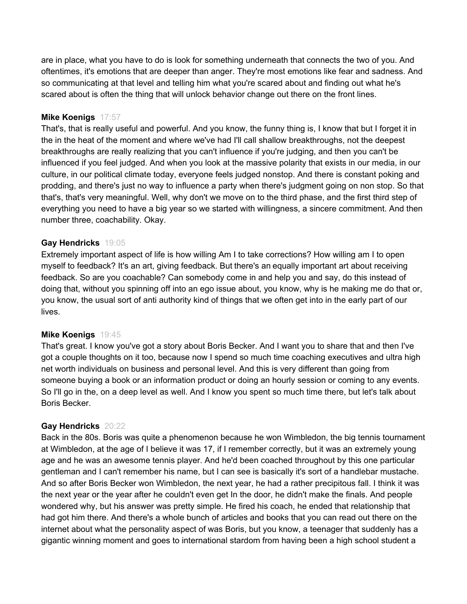are in place, what you have to do is look for something underneath that connects the two of you. And oftentimes, it's emotions that are deeper than anger. They're most emotions like fear and sadness. And so communicating at that level and telling him what you're scared about and finding out what he's scared about is often the thing that will unlock behavior change out there on the front lines.

## **Mike Koenigs** 17:57

That's, that is really useful and powerful. And you know, the funny thing is, I know that but I forget it in the in the heat of the moment and where we've had I'll call shallow breakthroughs, not the deepest breakthroughs are really realizing that you can't influence if you're judging, and then you can't be influenced if you feel judged. And when you look at the massive polarity that exists in our media, in our culture, in our political climate today, everyone feels judged nonstop. And there is constant poking and prodding, and there's just no way to influence a party when there's judgment going on non stop. So that that's, that's very meaningful. Well, why don't we move on to the third phase, and the first third step of everything you need to have a big year so we started with willingness, a sincere commitment. And then number three, coachability. Okay.

#### **Gay Hendricks** 19:05

Extremely important aspect of life is how willing Am I to take corrections? How willing am I to open myself to feedback? It's an art, giving feedback. But there's an equally important art about receiving feedback. So are you coachable? Can somebody come in and help you and say, do this instead of doing that, without you spinning off into an ego issue about, you know, why is he making me do that or, you know, the usual sort of anti authority kind of things that we often get into in the early part of our lives.

#### **Mike Koenigs** 19:45

That's great. I know you've got a story about Boris Becker. And I want you to share that and then I've got a couple thoughts on it too, because now I spend so much time coaching executives and ultra high net worth individuals on business and personal level. And this is very different than going from someone buying a book or an information product or doing an hourly session or coming to any events. So I'll go in the, on a deep level as well. And I know you spent so much time there, but let's talk about Boris Becker.

## **Gay Hendricks** 20:22

Back in the 80s. Boris was quite a phenomenon because he won Wimbledon, the big tennis tournament at Wimbledon, at the age of I believe it was 17, if I remember correctly, but it was an extremely young age and he was an awesome tennis player. And he'd been coached throughout by this one particular gentleman and I can't remember his name, but I can see is basically it's sort of a handlebar mustache. And so after Boris Becker won Wimbledon, the next year, he had a rather precipitous fall. I think it was the next year or the year after he couldn't even get In the door, he didn't make the finals. And people wondered why, but his answer was pretty simple. He fired his coach, he ended that relationship that had got him there. And there's a whole bunch of articles and books that you can read out there on the internet about what the personality aspect of was Boris, but you know, a teenager that suddenly has a gigantic winning moment and goes to international stardom from having been a high school student a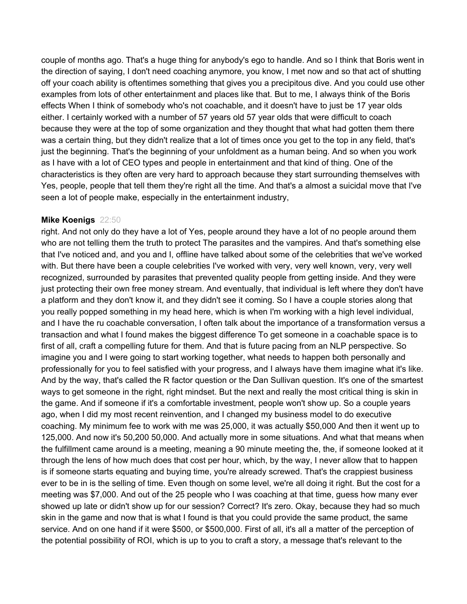couple of months ago. That's a huge thing for anybody's ego to handle. And so I think that Boris went in the direction of saying, I don't need coaching anymore, you know, I met now and so that act of shutting off your coach ability is oftentimes something that gives you a precipitous dive. And you could use other examples from lots of other entertainment and places like that. But to me, I always think of the Boris effects When I think of somebody who's not coachable, and it doesn't have to just be 17 year olds either. I certainly worked with a number of 57 years old 57 year olds that were difficult to coach because they were at the top of some organization and they thought that what had gotten them there was a certain thing, but they didn't realize that a lot of times once you get to the top in any field, that's just the beginning. That's the beginning of your unfoldment as a human being. And so when you work as I have with a lot of CEO types and people in entertainment and that kind of thing. One of the characteristics is they often are very hard to approach because they start surrounding themselves with Yes, people, people that tell them they're right all the time. And that's a almost a suicidal move that I've seen a lot of people make, especially in the entertainment industry,

#### **Mike Koenigs** 22:50

right. And not only do they have a lot of Yes, people around they have a lot of no people around them who are not telling them the truth to protect The parasites and the vampires. And that's something else that I've noticed and, and you and I, offline have talked about some of the celebrities that we've worked with. But there have been a couple celebrities I've worked with very, very well known, very, very well recognized, surrounded by parasites that prevented quality people from getting inside. And they were just protecting their own free money stream. And eventually, that individual is left where they don't have a platform and they don't know it, and they didn't see it coming. So I have a couple stories along that you really popped something in my head here, which is when I'm working with a high level individual, and I have the ru coachable conversation, I often talk about the importance of a transformation versus a transaction and what I found makes the biggest difference To get someone in a coachable space is to first of all, craft a compelling future for them. And that is future pacing from an NLP perspective. So imagine you and I were going to start working together, what needs to happen both personally and professionally for you to feel satisfied with your progress, and I always have them imagine what it's like. And by the way, that's called the R factor question or the Dan Sullivan question. It's one of the smartest ways to get someone in the right, right mindset. But the next and really the most critical thing is skin in the game. And if someone if it's a comfortable investment, people won't show up. So a couple years ago, when I did my most recent reinvention, and I changed my business model to do executive coaching. My minimum fee to work with me was 25,000, it was actually \$50,000 And then it went up to 125,000. And now it's 50,200 50,000. And actually more in some situations. And what that means when the fulfillment came around is a meeting, meaning a 90 minute meeting the, the, if someone looked at it through the lens of how much does that cost per hour, which, by the way, I never allow that to happen is if someone starts equating and buying time, you're already screwed. That's the crappiest business ever to be in is the selling of time. Even though on some level, we're all doing it right. But the cost for a meeting was \$7,000. And out of the 25 people who I was coaching at that time, guess how many ever showed up late or didn't show up for our session? Correct? It's zero. Okay, because they had so much skin in the game and now that is what I found is that you could provide the same product, the same service. And on one hand if it were \$500, or \$500,000. First of all, it's all a matter of the perception of the potential possibility of ROI, which is up to you to craft a story, a message that's relevant to the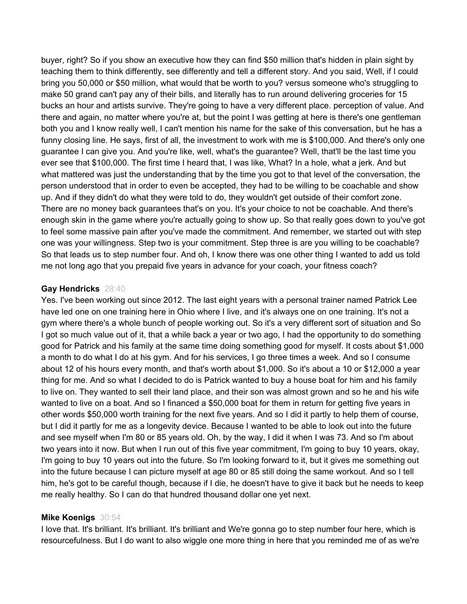buyer, right? So if you show an executive how they can find \$50 million that's hidden in plain sight by teaching them to think differently, see differently and tell a different story. And you said, Well, if I could bring you 50,000 or \$50 million, what would that be worth to you? versus someone who's struggling to make 50 grand can't pay any of their bills, and literally has to run around delivering groceries for 15 bucks an hour and artists survive. They're going to have a very different place. perception of value. And there and again, no matter where you're at, but the point I was getting at here is there's one gentleman both you and I know really well, I can't mention his name for the sake of this conversation, but he has a funny closing line. He says, first of all, the investment to work with me is \$100,000. And there's only one guarantee I can give you. And you're like, well, what's the guarantee? Well, that'll be the last time you ever see that \$100,000. The first time I heard that, I was like, What? In a hole, what a jerk. And but what mattered was just the understanding that by the time you got to that level of the conversation, the person understood that in order to even be accepted, they had to be willing to be coachable and show up. And if they didn't do what they were told to do, they wouldn't get outside of their comfort zone. There are no money back guarantees that's on you. It's your choice to not be coachable. And there's enough skin in the game where you're actually going to show up. So that really goes down to you've got to feel some massive pain after you've made the commitment. And remember, we started out with step one was your willingness. Step two is your commitment. Step three is are you willing to be coachable? So that leads us to step number four. And oh, I know there was one other thing I wanted to add us told me not long ago that you prepaid five years in advance for your coach, your fitness coach?

#### **Gay Hendricks** 28:40

Yes. I've been working out since 2012. The last eight years with a personal trainer named Patrick Lee have led one on one training here in Ohio where I live, and it's always one on one training. It's not a gym where there's a whole bunch of people working out. So it's a very different sort of situation and So I got so much value out of it, that a while back a year or two ago, I had the opportunity to do something good for Patrick and his family at the same time doing something good for myself. It costs about \$1,000 a month to do what I do at his gym. And for his services, I go three times a week. And so I consume about 12 of his hours every month, and that's worth about \$1,000. So it's about a 10 or \$12,000 a year thing for me. And so what I decided to do is Patrick wanted to buy a house boat for him and his family to live on. They wanted to sell their land place, and their son was almost grown and so he and his wife wanted to live on a boat. And so I financed a \$50,000 boat for them in return for getting five years in other words \$50,000 worth training for the next five years. And so I did it partly to help them of course, but I did it partly for me as a longevity device. Because I wanted to be able to look out into the future and see myself when I'm 80 or 85 years old. Oh, by the way, I did it when I was 73. And so I'm about two years into it now. But when I run out of this five year commitment, I'm going to buy 10 years, okay, I'm going to buy 10 years out into the future. So I'm looking forward to it, but it gives me something out into the future because I can picture myself at age 80 or 85 still doing the same workout. And so I tell him, he's got to be careful though, because if I die, he doesn't have to give it back but he needs to keep me really healthy. So I can do that hundred thousand dollar one yet next.

#### **Mike Koenigs** 30:54

I love that. It's brilliant. It's brilliant. It's brilliant and We're gonna go to step number four here, which is resourcefulness. But I do want to also wiggle one more thing in here that you reminded me of as we're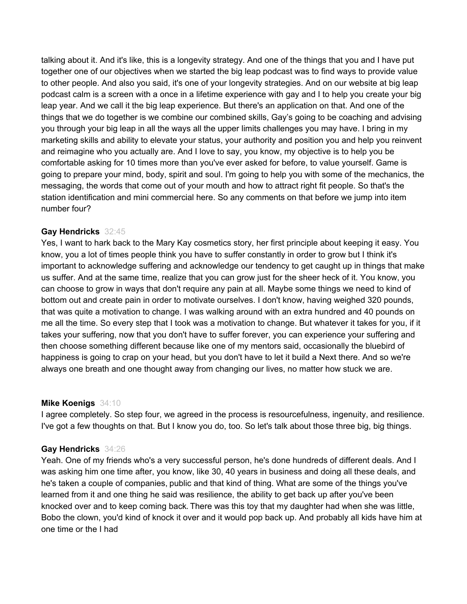talking about it. And it's like, this is a longevity strategy. And one of the things that you and I have put together one of our objectives when we started the big leap podcast was to find ways to provide value to other people. And also you said, it's one of your longevity strategies. And on our website at big leap podcast calm is a screen with a once in a lifetime experience with gay and I to help you create your big leap year. And we call it the big leap experience. But there's an application on that. And one of the things that we do together is we combine our combined skills, Gay's going to be coaching and advising you through your big leap in all the ways all the upper limits challenges you may have. I bring in my marketing skills and ability to elevate your status, your authority and position you and help you reinvent and reimagine who you actually are. And I love to say, you know, my objective is to help you be comfortable asking for 10 times more than you've ever asked for before, to value yourself. Game is going to prepare your mind, body, spirit and soul. I'm going to help you with some of the mechanics, the messaging, the words that come out of your mouth and how to attract right fit people. So that's the station identification and mini commercial here. So any comments on that before we jump into item number four?

## **Gay Hendricks** 32:45

Yes, I want to hark back to the Mary Kay cosmetics story, her first principle about keeping it easy. You know, you a lot of times people think you have to suffer constantly in order to grow but I think it's important to acknowledge suffering and acknowledge our tendency to get caught up in things that make us suffer. And at the same time, realize that you can grow just for the sheer heck of it. You know, you can choose to grow in ways that don't require any pain at all. Maybe some things we need to kind of bottom out and create pain in order to motivate ourselves. I don't know, having weighed 320 pounds, that was quite a motivation to change. I was walking around with an extra hundred and 40 pounds on me all the time. So every step that I took was a motivation to change. But whatever it takes for you, if it takes your suffering, now that you don't have to suffer forever, you can experience your suffering and then choose something different because like one of my mentors said, occasionally the bluebird of happiness is going to crap on your head, but you don't have to let it build a Next there. And so we're always one breath and one thought away from changing our lives, no matter how stuck we are.

#### **Mike Koenigs** 34:10

I agree completely. So step four, we agreed in the process is resourcefulness, ingenuity, and resilience. I've got a few thoughts on that. But I know you do, too. So let's talk about those three big, big things.

## **Gay Hendricks** 34:26

Yeah. One of my friends who's a very successful person, he's done hundreds of different deals. And I was asking him one time after, you know, like 30, 40 years in business and doing all these deals, and he's taken a couple of companies, public and that kind of thing. What are some of the things you've learned from it and one thing he said was resilience, the ability to get back up after you've been knocked over and to keep coming back. There was this toy that my daughter had when she was little, Bobo the clown, you'd kind of knock it over and it would pop back up. And probably all kids have him at one time or the I had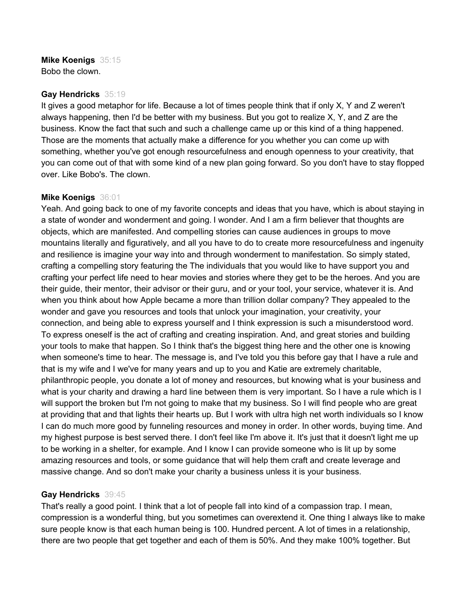## **Mike Koenigs** 35:15

Bobo the clown.

## **Gay Hendricks** 35:19

It gives a good metaphor for life. Because a lot of times people think that if only X, Y and Z weren't always happening, then I'd be better with my business. But you got to realize X, Y, and Z are the business. Know the fact that such and such a challenge came up or this kind of a thing happened. Those are the moments that actually make a difference for you whether you can come up with something, whether you've got enough resourcefulness and enough openness to your creativity, that you can come out of that with some kind of a new plan going forward. So you don't have to stay flopped over. Like Bobo's. The clown.

## **Mike Koenigs** 36:01

Yeah. And going back to one of my favorite concepts and ideas that you have, which is about staying in a state of wonder and wonderment and going. I wonder. And I am a firm believer that thoughts are objects, which are manifested. And compelling stories can cause audiences in groups to move mountains literally and figuratively, and all you have to do to create more resourcefulness and ingenuity and resilience is imagine your way into and through wonderment to manifestation. So simply stated, crafting a compelling story featuring the The individuals that you would like to have support you and crafting your perfect life need to hear movies and stories where they get to be the heroes. And you are their guide, their mentor, their advisor or their guru, and or your tool, your service, whatever it is. And when you think about how Apple became a more than trillion dollar company? They appealed to the wonder and gave you resources and tools that unlock your imagination, your creativity, your connection, and being able to express yourself and I think expression is such a misunderstood word. To express oneself is the act of crafting and creating inspiration. And, and great stories and building your tools to make that happen. So I think that's the biggest thing here and the other one is knowing when someone's time to hear. The message is, and I've told you this before gay that I have a rule and that is my wife and I we've for many years and up to you and Katie are extremely charitable, philanthropic people, you donate a lot of money and resources, but knowing what is your business and what is your charity and drawing a hard line between them is very important. So I have a rule which is I will support the broken but I'm not going to make that my business. So I will find people who are great at providing that and that lights their hearts up. But I work with ultra high net worth individuals so I know I can do much more good by funneling resources and money in order. In other words, buying time. And my highest purpose is best served there. I don't feel like I'm above it. It's just that it doesn't light me up to be working in a shelter, for example. And I know I can provide someone who is lit up by some amazing resources and tools, or some guidance that will help them craft and create leverage and massive change. And so don't make your charity a business unless it is your business.

## **Gay Hendricks** 39:45

That's really a good point. I think that a lot of people fall into kind of a compassion trap. I mean, compression is a wonderful thing, but you sometimes can overextend it. One thing I always like to make sure people know is that each human being is 100. Hundred percent. A lot of times in a relationship, there are two people that get together and each of them is 50%. And they make 100% together. But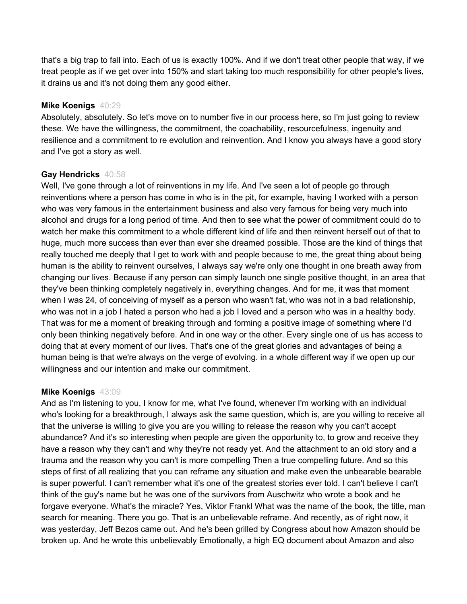that's a big trap to fall into. Each of us is exactly 100%. And if we don't treat other people that way, if we treat people as if we get over into 150% and start taking too much responsibility for other people's lives, it drains us and it's not doing them any good either.

#### **Mike Koenigs** 40:29

Absolutely, absolutely. So let's move on to number five in our process here, so I'm just going to review these. We have the willingness, the commitment, the coachability, resourcefulness, ingenuity and resilience and a commitment to re evolution and reinvention. And I know you always have a good story and I've got a story as well.

## **Gay Hendricks** 40:58

Well, I've gone through a lot of reinventions in my life. And I've seen a lot of people go through reinventions where a person has come in who is in the pit, for example, having I worked with a person who was very famous in the entertainment business and also very famous for being very much into alcohol and drugs for a long period of time. And then to see what the power of commitment could do to watch her make this commitment to a whole different kind of life and then reinvent herself out of that to huge, much more success than ever than ever she dreamed possible. Those are the kind of things that really touched me deeply that I get to work with and people because to me, the great thing about being human is the ability to reinvent ourselves, I always say we're only one thought in one breath away from changing our lives. Because if any person can simply launch one single positive thought, in an area that they've been thinking completely negatively in, everything changes. And for me, it was that moment when I was 24, of conceiving of myself as a person who wasn't fat, who was not in a bad relationship, who was not in a job I hated a person who had a job I loved and a person who was in a healthy body. That was for me a moment of breaking through and forming a positive image of something where I'd only been thinking negatively before. And in one way or the other. Every single one of us has access to doing that at every moment of our lives. That's one of the great glories and advantages of being a human being is that we're always on the verge of evolving. in a whole different way if we open up our willingness and our intention and make our commitment.

## **Mike Koenigs** 43:09

And as I'm listening to you, I know for me, what I've found, whenever I'm working with an individual who's looking for a breakthrough, I always ask the same question, which is, are you willing to receive all that the universe is willing to give you are you willing to release the reason why you can't accept abundance? And it's so interesting when people are given the opportunity to, to grow and receive they have a reason why they can't and why they're not ready yet. And the attachment to an old story and a trauma and the reason why you can't is more compelling Then a true compelling future. And so this steps of first of all realizing that you can reframe any situation and make even the unbearable bearable is super powerful. I can't remember what it's one of the greatest stories ever told. I can't believe I can't think of the guy's name but he was one of the survivors from Auschwitz who wrote a book and he forgave everyone. What's the miracle? Yes, Viktor Frankl What was the name of the book, the title, man search for meaning. There you go. That is an unbelievable reframe. And recently, as of right now, it was yesterday, Jeff Bezos came out. And he's been grilled by Congress about how Amazon should be broken up. And he wrote this unbelievably Emotionally, a high EQ document about Amazon and also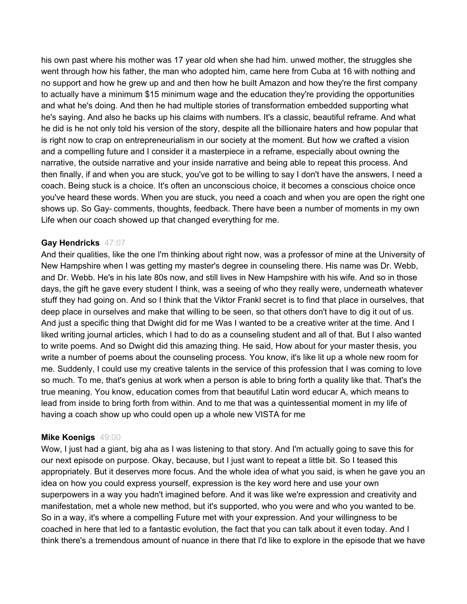his own past where his mother was 17 year old when she had him. unwed mother, the struggles she went through how his father, the man who adopted him, came here from Cuba at 16 with nothing and no support and how he grew up and and then how he built Amazon and how they're the first company to actually have a minimum \$15 minimum wage and the education they're providing the opportunities and what he's doing. And then he had multiple stories of transformation embedded supporting what he's saying. And also he backs up his claims with numbers. It's a classic, beautiful reframe. And what he did is he not only told his version of the story, despite all the billionaire haters and how popular that is right now to crap on entrepreneurialism in our society at the moment. But how we crafted a vision and a compelling future and I consider it a masterpiece in a reframe, especially about owning the narrative, the outside narrative and your inside narrative and being able to repeat this process. And then finally, if and when you are stuck, you've got to be willing to say I don't have the answers, I need a coach. Being stuck is a choice. It's often an unconscious choice, it becomes a conscious choice once you've heard these words. When you are stuck, you need a coach and when you are open the right one shows up. So Gay- comments, thoughts, feedback. There have been a number of moments in my own Life when our coach showed up that changed everything for me.

#### **Gay Hendricks** 47:07

And their qualities, like the one I'm thinking about right now, was a professor of mine at the University of New Hampshire when I was getting my master's degree in counseling there. His name was Dr. Webb, and Dr. Webb. He's in his late 80s now, and still lives in New Hampshire with his wife. And so in those days, the gift he gave every student I think, was a seeing of who they really were, underneath whatever stuff they had going on. And so I think that the Viktor Frankl secret is to find that place in ourselves, that deep place in ourselves and make that willing to be seen, so that others don't have to dig it out of us. And just a specific thing that Dwight did for me Was I wanted to be a creative writer at the time. And I liked writing journal articles, which I had to do as a counseling student and all of that. But I also wanted to write poems. And so Dwight did this amazing thing. He said, How about for your master thesis, you write a number of poems about the counseling process. You know, it's like lit up a whole new room for me. Suddenly, I could use my creative talents in the service of this profession that I was coming to love so much. To me, that's genius at work when a person is able to bring forth a quality like that. That's the true meaning. You know, education comes from that beautiful Latin word educar A, which means to lead from inside to bring forth from within. And to me that was a quintessential moment in my life of having a coach show up who could open up a whole new VISTA for me

#### **Mike Koenigs** 49:00

Wow, I just had a giant, big aha as I was listening to that story. And I'm actually going to save this for our next episode on purpose. Okay, because, but I just want to repeat a little bit. So I teased this appropriately. But it deserves more focus. And the whole idea of what you said, is when he gave you an idea on how you could express yourself, expression is the key word here and use your own superpowers in a way you hadn't imagined before. And it was like we're expression and creativity and manifestation, met a whole new method, but it's supported, who you were and who you wanted to be. So in a way, it's where a compelling Future met with your expression. And your willingness to be coached in here that led to a fantastic evolution, the fact that you can talk about it even today. And I think there's a tremendous amount of nuance in there that I'd like to explore in the episode that we have